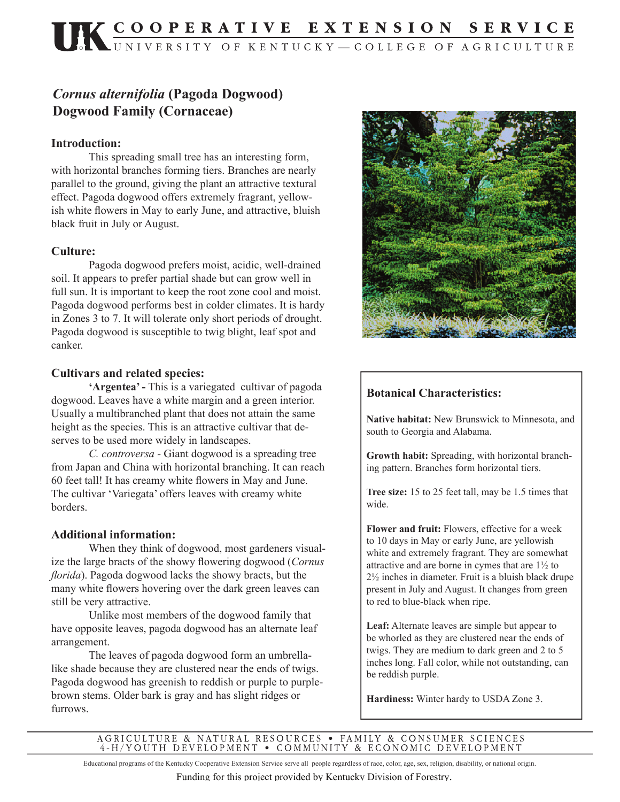# *Cornus alternifolia* **(Pagoda Dogwood) Dogwood Family (Cornaceae)**

#### **Introduction:**

 This spreading small tree has an interesting form, with horizontal branches forming tiers. Branches are nearly parallel to the ground, giving the plant an attractive textural effect. Pagoda dogwood offers extremely fragrant, yellowish white flowers in May to early June, and attractive, bluish black fruit in July or August.

#### **Culture:**

 Pagoda dogwood prefers moist, acidic, well-drained soil. It appears to prefer partial shade but can grow well in full sun. It is important to keep the root zone cool and moist. Pagoda dogwood performs best in colder climates. It is hardy in Zones 3 to 7. It will tolerate only short periods of drought. Pagoda dogwood is susceptible to twig blight, leaf spot and canker.

#### **Cultivars and related species:**

**'Argentea' -** This is a variegated cultivar of pagoda dogwood. Leaves have a white margin and a green interior. Usually a multibranched plant that does not attain the same height as the species. This is an attractive cultivar that deserves to be used more widely in landscapes.

*C. controversa -* Giant dogwood is a spreading tree from Japan and China with horizontal branching. It can reach 60 feet tall! It has creamy white flowers in May and June. The cultivar 'Variegata' offers leaves with creamy white borders.

#### **Additional information:**

 When they think of dogwood, most gardeners visualize the large bracts of the showy flowering dogwood (*Cornus florida*). Pagoda dogwood lacks the showy bracts, but the many white flowers hovering over the dark green leaves can still be very attractive.

 Unlike most members of the dogwood family that have opposite leaves, pagoda dogwood has an alternate leaf arrangement.

 The leaves of pagoda dogwood form an umbrellalike shade because they are clustered near the ends of twigs. Pagoda dogwood has greenish to reddish or purple to purplebrown stems. Older bark is gray and has slight ridges or furrows.



### **Botanical Characteristics:**

**Native habitat:** New Brunswick to Minnesota, and south to Georgia and Alabama.

**Growth habit:** Spreading, with horizontal branching pattern. Branches form horizontal tiers.

**Tree size:** 15 to 25 feet tall, may be 1.5 times that wide.

**Flower and fruit:** Flowers, effective for a week to 10 days in May or early June, are yellowish white and extremely fragrant. They are somewhat attractive and are borne in cymes that are 1½ to 2½ inches in diameter. Fruit is a bluish black drupe present in July and August. It changes from green to red to blue-black when ripe.

**Leaf:** Alternate leaves are simple but appear to be whorled as they are clustered near the ends of twigs. They are medium to dark green and 2 to 5 inches long. Fall color, while not outstanding, can be reddish purple.

**Hardiness:** Winter hardy to USDA Zone 3.

AGRICULTURE & NATURAL RESOURCES • FAMILY & CONSUMER SCIENCES 4-H/YOUTH DEVELOPMENT • COMMUNITY & ECONOMIC DEVELOPMENT

Educational programs of the Kentucky Cooperative Extension Service serve all people regardless of race, color, age, sex, religion, disability, or national origin.